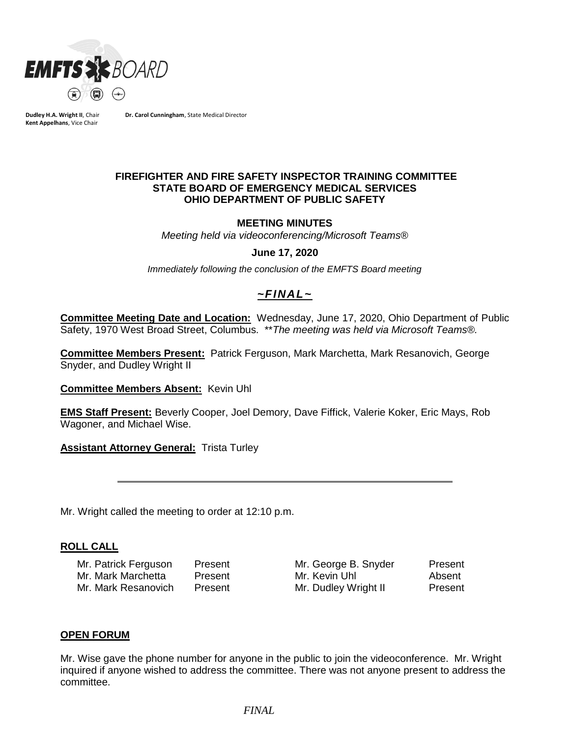

**Dudley H.A. Wright II**, Chair **Kent Appelhans**, Vice Chair

**Dr. Carol Cunningham**, State Medical Director

### **FIREFIGHTER AND FIRE SAFETY INSPECTOR TRAINING COMMITTEE STATE BOARD OF EMERGENCY MEDICAL SERVICES OHIO DEPARTMENT OF PUBLIC SAFETY**

### **MEETING MINUTES**

*Meeting held via videoconferencing/Microsoft Teams®*

#### **June 17, 2020**

*Immediately following the conclusion of the EMFTS Board meeting*

# *~FINAL~*

**Committee Meeting Date and Location:** Wednesday, June 17, 2020, Ohio Department of Public Safety, 1970 West Broad Street, Columbus. \*\**The meeting was held via Microsoft Teams®.*

**Committee Members Present:** Patrick Ferguson, Mark Marchetta, Mark Resanovich, George Snyder, and Dudley Wright II

**Committee Members Absent:** Kevin Uhl

**EMS Staff Present:** Beverly Cooper, Joel Demory, Dave Fiffick, Valerie Koker, Eric Mays, Rob Wagoner, and Michael Wise.

**Assistant Attorney General: Trista Turley** 

Mr. Wright called the meeting to order at 12:10 p.m.

### **ROLL CALL**

Mr. Patrick Ferguson Present Mr. George B. Snyder Present Mr. Mark Marchetta Present Mr. Kevin Uhl Absent Mr. Mark Resanovich Present Mr. Dudley Wright II Present

## **OPEN FORUM**

Mr. Wise gave the phone number for anyone in the public to join the videoconference. Mr. Wright inquired if anyone wished to address the committee. There was not anyone present to address the committee.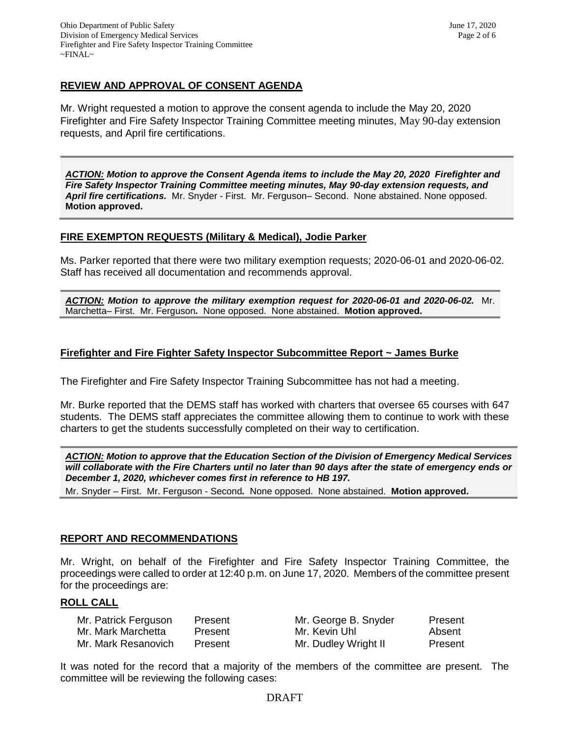## **REVIEW AND APPROVAL OF CONSENT AGENDA**

Mr. Wright requested a motion to approve the consent agenda to include the May 20, 2020 Firefighter and Fire Safety Inspector Training Committee meeting minutes, May 90-day extension requests, and April fire certifications.

*ACTION: Motion to approve the Consent Agenda items to include the May 20, 2020 Firefighter and Fire Safety Inspector Training Committee meeting minutes, May 90-day extension requests, and April fire certifications.* Mr. Snyder - First. Mr. Ferguson– Second. None abstained. None opposed. **Motion approved.**

## **FIRE EXEMPTON REQUESTS (Military & Medical), Jodie Parker**

Ms. Parker reported that there were two military exemption requests; 2020-06-01 and 2020-06-02. Staff has received all documentation and recommends approval.

*ACTION: Motion to approve the military exemption request for 2020-06-01 and 2020-06-02.* Mr. Marchetta– First. Mr. Ferguson*.* None opposed. None abstained. **Motion approved.**

## **Firefighter and Fire Fighter Safety Inspector Subcommittee Report ~ James Burke**

The Firefighter and Fire Safety Inspector Training Subcommittee has not had a meeting.

Mr. Burke reported that the DEMS staff has worked with charters that oversee 65 courses with 647 students. The DEMS staff appreciates the committee allowing them to continue to work with these charters to get the students successfully completed on their way to certification.

*ACTION: Motion to approve that the Education Section of the Division of Emergency Medical Services will collaborate with the Fire Charters until no later than 90 days after the state of emergency ends or December 1, 2020, whichever comes first in reference to HB 197.*

Mr. Snyder – First. Mr. Ferguson - Second*.* None opposed. None abstained. **Motion approved.**

### **REPORT AND RECOMMENDATIONS**

Mr. Wright, on behalf of the Firefighter and Fire Safety Inspector Training Committee, the proceedings were called to order at 12:40 p.m. on June 17, 2020. Members of the committee present for the proceedings are:

#### **ROLL CALL**

| Mr. Patrick Ferguson | Present | Mr. George B. Snyder | Present |
|----------------------|---------|----------------------|---------|
| Mr. Mark Marchetta   | Present | Mr. Kevin Uhl        | Absent  |
| Mr. Mark Resanovich  | Present | Mr. Dudley Wright II | Present |

It was noted for the record that a majority of the members of the committee are present. The committee will be reviewing the following cases: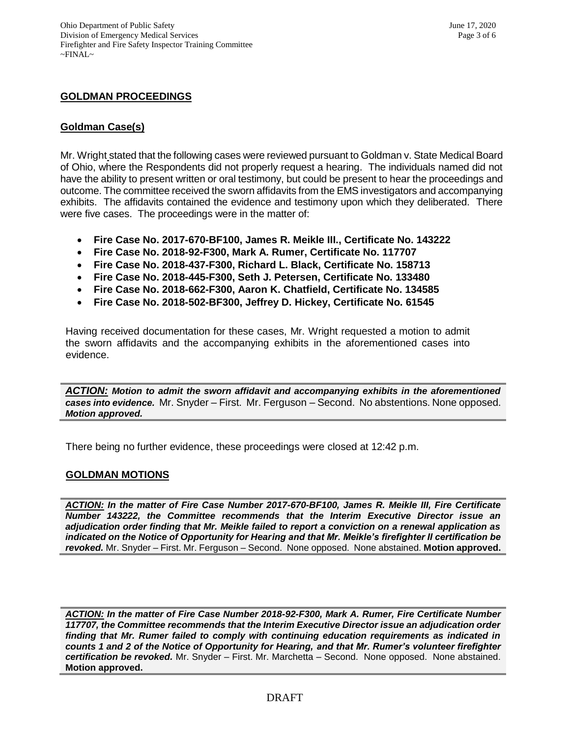## **GOLDMAN PROCEEDINGS**

## **Goldman Case(s)**

Mr. Wright stated that the following cases were reviewed pursuant to Goldman v. State Medical Board of Ohio, where the Respondents did not properly request a hearing. The individuals named did not have the ability to present written or oral testimony, but could be present to hear the proceedings and outcome. The committee received the sworn affidavits from the EMS investigators and accompanying exhibits. The affidavits contained the evidence and testimony upon which they deliberated. There were five cases. The proceedings were in the matter of:

- **Fire Case No. 2017-670-BF100, James R. Meikle III., Certificate No. 143222**
- **Fire Case No. 2018-92-F300, Mark A. Rumer, Certificate No. 117707**
- **Fire Case No. 2018-437-F300, Richard L. Black, Certificate No. 158713**
- **Fire Case No. 2018-445-F300, Seth J. Petersen, Certificate No. 133480**
- **Fire Case No. 2018-662-F300, Aaron K. Chatfield, Certificate No. 134585**
- **Fire Case No. 2018-502-BF300, Jeffrey D. Hickey, Certificate No. 61545**

Having received documentation for these cases, Mr. Wright requested a motion to admit the sworn affidavits and the accompanying exhibits in the aforementioned cases into evidence.

*ACTION: Motion to admit the sworn affidavit and accompanying exhibits in the aforementioned cases into evidence.* Mr. Snyder – First. Mr. Ferguson – Second. No abstentions. None opposed. *Motion approved.* 

There being no further evidence, these proceedings were closed at 12:42 p.m.

### **GOLDMAN MOTIONS**

*ACTION: In the matter of Fire Case Number 2017-670-BF100, James R. Meikle III, Fire Certificate Number 143222, the Committee recommends that the Interim Executive Director issue an adjudication order finding that Mr. Meikle failed to report a conviction on a renewal application as indicated on the Notice of Opportunity for Hearing and that Mr. Meikle's firefighter II certification be revoked.* Mr. Snyder – First. Mr. Ferguson – Second. None opposed. None abstained. **Motion approved.** 

*ACTION: In the matter of Fire Case Number 2018-92-F300, Mark A. Rumer, Fire Certificate Number 117707, the Committee recommends that the Interim Executive Director issue an adjudication order finding that Mr. Rumer failed to comply with continuing education requirements as indicated in counts 1 and 2 of the Notice of Opportunity for Hearing, and that Mr. Rumer's volunteer firefighter certification be revoked.* Mr. Snyder – First. Mr. Marchetta – Second. None opposed. None abstained. **Motion approved.**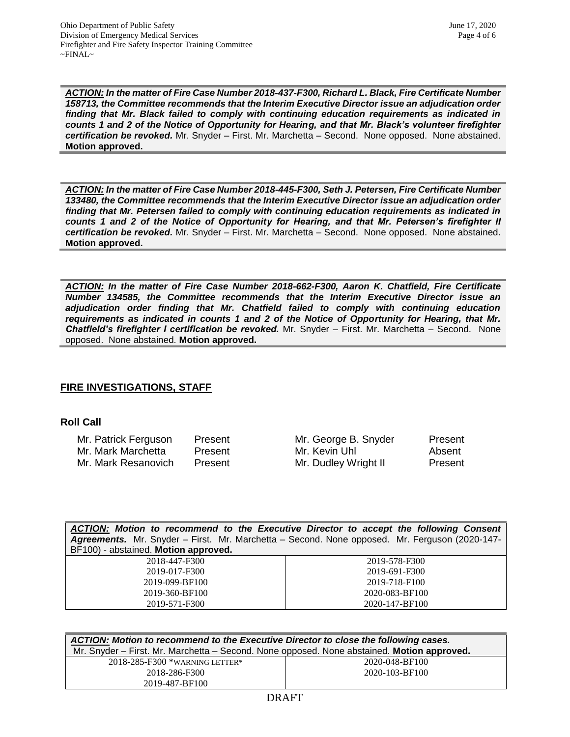*ACTION: In the matter of Fire Case Number 2018-437-F300, Richard L. Black, Fire Certificate Number 158713, the Committee recommends that the Interim Executive Director issue an adjudication order finding that Mr. Black failed to comply with continuing education requirements as indicated in counts 1 and 2 of the Notice of Opportunity for Hearing, and that Mr. Black's volunteer firefighter certification be revoked.* Mr. Snyder – First. Mr. Marchetta – Second. None opposed. None abstained. **Motion approved.** 

*ACTION: In the matter of Fire Case Number 2018-445-F300, Seth J. Petersen, Fire Certificate Number 133480, the Committee recommends that the Interim Executive Director issue an adjudication order finding that Mr. Petersen failed to comply with continuing education requirements as indicated in counts 1 and 2 of the Notice of Opportunity for Hearing, and that Mr. Petersen's firefighter II certification be revoked.* Mr. Snyder – First. Mr. Marchetta – Second. None opposed. None abstained. **Motion approved.** 

*ACTION: In the matter of Fire Case Number 2018-662-F300, Aaron K. Chatfield, Fire Certificate Number 134585, the Committee recommends that the Interim Executive Director issue an adjudication order finding that Mr. Chatfield failed to comply with continuing education requirements as indicated in counts 1 and 2 of the Notice of Opportunity for Hearing, that Mr. Chatfield's firefighter I certification be revoked.* Mr. Snyder – First. Mr. Marchetta – Second. None opposed. None abstained. **Motion approved.** 

# **FIRE INVESTIGATIONS, STAFF**

## **Roll Call**

| Mr. Patrick Ferguson | Present | Mr. George B. Snyder | Present |
|----------------------|---------|----------------------|---------|
| Mr. Mark Marchetta   | Present | Mr. Kevin Uhl        | Absent  |
| Mr. Mark Resanovich  | Present | Mr. Dudley Wright II | Present |

| ACTION: Motion to recommend to the Executive Director to accept the following Consent<br>Agreements. Mr. Snyder - First. Mr. Marchetta - Second. None opposed. Mr. Ferguson (2020-147-<br>BF100) - abstained. Motion approved. |                |  |
|--------------------------------------------------------------------------------------------------------------------------------------------------------------------------------------------------------------------------------|----------------|--|
| 2018-447-F300                                                                                                                                                                                                                  | 2019-578-F300  |  |
| 2019-017-F300                                                                                                                                                                                                                  | 2019-691-F300  |  |
| 2019-099-BF100                                                                                                                                                                                                                 | 2019-718-F100  |  |
| 2019-360-BF100                                                                                                                                                                                                                 | 2020-083-BF100 |  |
| 2019-571-F300                                                                                                                                                                                                                  | 2020-147-BF100 |  |

| ACTION: Motion to recommend to the Executive Director to close the following cases.        |                |  |  |
|--------------------------------------------------------------------------------------------|----------------|--|--|
| Mr. Snyder - First. Mr. Marchetta - Second. None opposed. None abstained. Motion approved. |                |  |  |
| $2018 - 285 - F300$ *WARNING LETTER*                                                       | 2020-048-BF100 |  |  |
| 2018-286-F300                                                                              | 2020-103-BF100 |  |  |
| 2019-487-BF100                                                                             |                |  |  |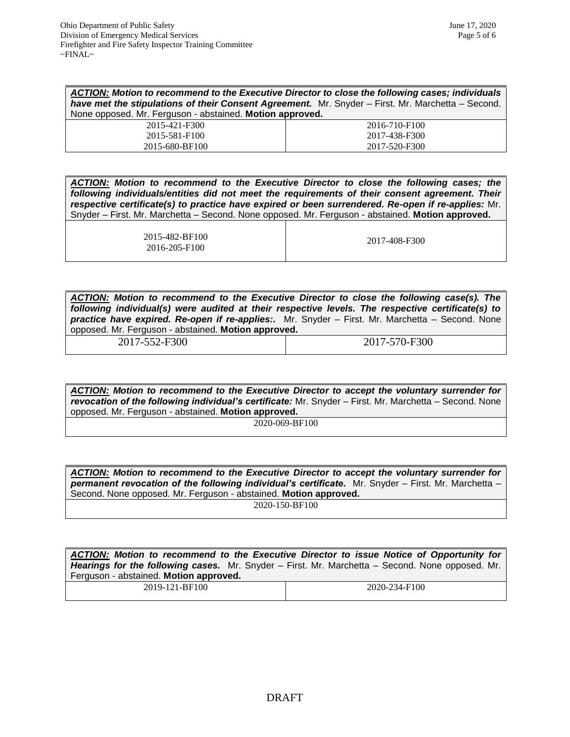| ACTION: Motion to recommend to the Executive Director to close the following cases; individuals   |  |
|---------------------------------------------------------------------------------------------------|--|
| have met the stipulations of their Consent Agreement. Mr. Snyder – First. Mr. Marchetta – Second. |  |
| None opposed. Mr. Ferguson - abstained. Motion approved.                                          |  |

| 2015-421-F300  | 2016-710-F100 |
|----------------|---------------|
| 2015-581-F100  | 2017-438-F300 |
| 2015-680-BF100 | 2017-520-F300 |
|                |               |

*ACTION: Motion to recommend to the Executive Director to close the following cases; the following individuals/entities did not meet the requirements of their consent agreement. Their respective certificate(s) to practice have expired or been surrendered. Re-open if re-applies:* Mr. Snyder – First. Mr. Marchetta – Second. None opposed. Mr. Ferguson - abstained. **Motion approved.**

> 2015-482-BF100 2016-205-F100

2017-408-F300

*ACTION: Motion to recommend to the Executive Director to close the following case(s). The following individual(s) were audited at their respective levels. The respective certificate(s) to practice have expired. Re-open if re-applies:.* Mr. Snyder – First. Mr. Marchetta – Second. None opposed. Mr. Ferguson - abstained. **Motion approved.**

2017-552-F300 2017-570-F300

*ACTION: Motion to recommend to the Executive Director to accept the voluntary surrender for revocation of the following individual's certificate:* Mr. Snyder – First. Mr. Marchetta – Second. None opposed. Mr. Ferguson - abstained. **Motion approved.**

2020-069-BF100

*ACTION: Motion to recommend to the Executive Director to accept the voluntary surrender for*  **permanent revocation of the following individual's certificate.** Mr. Snyder – First. Mr. Marchetta – Second. None opposed. Mr. Ferguson - abstained. **Motion approved.**

2020-150-BF100

*ACTION: Motion to recommend to the Executive Director to issue Notice of Opportunity for Hearings for the following cases.* Mr. Snyder – First. Mr. Marchetta – Second. None opposed. Mr. Ferguson - abstained. **Motion approved.**

2019-121-BF100 2020-234-F100